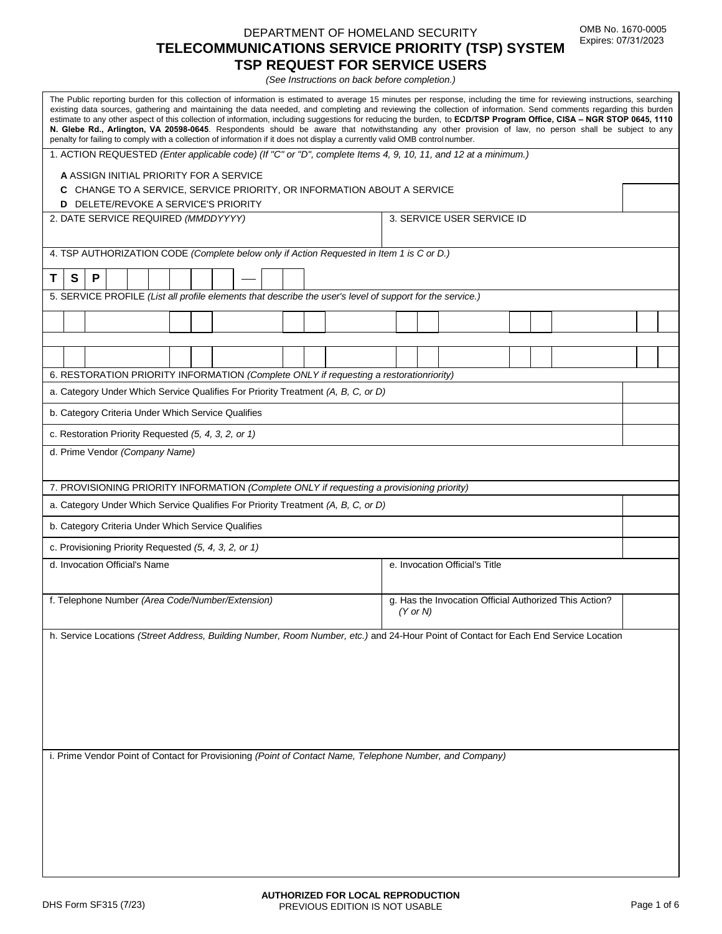### DEPARTMENT OF HOMELAND SECURITY **TELECOMMUNICATIONS SERVICE PRIORITY (TSP) SYSTEM TSP REQUEST FOR SERVICE USERS**

*(See Instructions on back before completion.)*

| The Public reporting burden for this collection of information is estimated to average 15 minutes per response, including the time for reviewing instructions, searching<br>existing data sources, gathering and maintaining the data needed, and completing and reviewing the collection of information. Send comments regarding this burden<br>estimate to any other aspect of this collection of information, including suggestions for reducing the burden, to ECD/TSP Program Office, CISA - NGR STOP 0645, 1110<br>N. Glebe Rd., Arlington, VA 20598-0645. Respondents should be aware that notwithstanding any other provision of law, no person shall be subject to any<br>penalty for failing to comply with a collection of information if it does not display a currently valid OMB control number. |                                                        |  |  |
|----------------------------------------------------------------------------------------------------------------------------------------------------------------------------------------------------------------------------------------------------------------------------------------------------------------------------------------------------------------------------------------------------------------------------------------------------------------------------------------------------------------------------------------------------------------------------------------------------------------------------------------------------------------------------------------------------------------------------------------------------------------------------------------------------------------|--------------------------------------------------------|--|--|
| 1. ACTION REQUESTED (Enter applicable code) (If "C" or "D", complete Items 4, 9, 10, 11, and 12 at a minimum.)<br>A ASSIGN INITIAL PRIORITY FOR A SERVICE<br>C CHANGE TO A SERVICE, SERVICE PRIORITY, OR INFORMATION ABOUT A SERVICE                                                                                                                                                                                                                                                                                                                                                                                                                                                                                                                                                                           |                                                        |  |  |
| <b>D</b> DELETE/REVOKE A SERVICE'S PRIORITY                                                                                                                                                                                                                                                                                                                                                                                                                                                                                                                                                                                                                                                                                                                                                                    |                                                        |  |  |
| 2. DATE SERVICE REQUIRED (MMDDYYYY)                                                                                                                                                                                                                                                                                                                                                                                                                                                                                                                                                                                                                                                                                                                                                                            | 3. SERVICE USER SERVICE ID                             |  |  |
| 4. TSP AUTHORIZATION CODE (Complete below only if Action Requested in Item 1 is C or D.)                                                                                                                                                                                                                                                                                                                                                                                                                                                                                                                                                                                                                                                                                                                       |                                                        |  |  |
| $\mathbf{s}$<br>P<br>Τ                                                                                                                                                                                                                                                                                                                                                                                                                                                                                                                                                                                                                                                                                                                                                                                         |                                                        |  |  |
| 5. SERVICE PROFILE (List all profile elements that describe the user's level of support for the service.)                                                                                                                                                                                                                                                                                                                                                                                                                                                                                                                                                                                                                                                                                                      |                                                        |  |  |
|                                                                                                                                                                                                                                                                                                                                                                                                                                                                                                                                                                                                                                                                                                                                                                                                                |                                                        |  |  |
|                                                                                                                                                                                                                                                                                                                                                                                                                                                                                                                                                                                                                                                                                                                                                                                                                |                                                        |  |  |
| 6. RESTORATION PRIORITY INFORMATION (Complete ONLY if requesting a restorationriority)                                                                                                                                                                                                                                                                                                                                                                                                                                                                                                                                                                                                                                                                                                                         |                                                        |  |  |
| a. Category Under Which Service Qualifies For Priority Treatment (A, B, C, or D)                                                                                                                                                                                                                                                                                                                                                                                                                                                                                                                                                                                                                                                                                                                               |                                                        |  |  |
| b. Category Criteria Under Which Service Qualifies                                                                                                                                                                                                                                                                                                                                                                                                                                                                                                                                                                                                                                                                                                                                                             |                                                        |  |  |
| c. Restoration Priority Requested (5, 4, 3, 2, or 1)                                                                                                                                                                                                                                                                                                                                                                                                                                                                                                                                                                                                                                                                                                                                                           |                                                        |  |  |
| d. Prime Vendor (Company Name)                                                                                                                                                                                                                                                                                                                                                                                                                                                                                                                                                                                                                                                                                                                                                                                 |                                                        |  |  |
|                                                                                                                                                                                                                                                                                                                                                                                                                                                                                                                                                                                                                                                                                                                                                                                                                |                                                        |  |  |
| 7. PROVISIONING PRIORITY INFORMATION (Complete ONLY if requesting a provisioning priority)                                                                                                                                                                                                                                                                                                                                                                                                                                                                                                                                                                                                                                                                                                                     |                                                        |  |  |
| a. Category Under Which Service Qualifies For Priority Treatment (A, B, C, or D)                                                                                                                                                                                                                                                                                                                                                                                                                                                                                                                                                                                                                                                                                                                               |                                                        |  |  |
| b. Category Criteria Under Which Service Qualifies                                                                                                                                                                                                                                                                                                                                                                                                                                                                                                                                                                                                                                                                                                                                                             |                                                        |  |  |
| c. Provisioning Priority Requested (5, 4, 3, 2, or 1)                                                                                                                                                                                                                                                                                                                                                                                                                                                                                                                                                                                                                                                                                                                                                          |                                                        |  |  |
| d. Invocation Official's Name                                                                                                                                                                                                                                                                                                                                                                                                                                                                                                                                                                                                                                                                                                                                                                                  | e. Invocation Official's Title                         |  |  |
| f. Telephone Number (Area Code/Number/Extension)                                                                                                                                                                                                                                                                                                                                                                                                                                                                                                                                                                                                                                                                                                                                                               | g. Has the Invocation Official Authorized This Action? |  |  |
|                                                                                                                                                                                                                                                                                                                                                                                                                                                                                                                                                                                                                                                                                                                                                                                                                | $(Y$ or N)                                             |  |  |
| h. Service Locations (Street Address, Building Number, Room Number, etc.) and 24-Hour Point of Contact for Each End Service Location                                                                                                                                                                                                                                                                                                                                                                                                                                                                                                                                                                                                                                                                           |                                                        |  |  |
|                                                                                                                                                                                                                                                                                                                                                                                                                                                                                                                                                                                                                                                                                                                                                                                                                |                                                        |  |  |
|                                                                                                                                                                                                                                                                                                                                                                                                                                                                                                                                                                                                                                                                                                                                                                                                                |                                                        |  |  |
|                                                                                                                                                                                                                                                                                                                                                                                                                                                                                                                                                                                                                                                                                                                                                                                                                |                                                        |  |  |
|                                                                                                                                                                                                                                                                                                                                                                                                                                                                                                                                                                                                                                                                                                                                                                                                                |                                                        |  |  |
|                                                                                                                                                                                                                                                                                                                                                                                                                                                                                                                                                                                                                                                                                                                                                                                                                |                                                        |  |  |
| i. Prime Vendor Point of Contact for Provisioning (Point of Contact Name, Telephone Number, and Company)                                                                                                                                                                                                                                                                                                                                                                                                                                                                                                                                                                                                                                                                                                       |                                                        |  |  |
|                                                                                                                                                                                                                                                                                                                                                                                                                                                                                                                                                                                                                                                                                                                                                                                                                |                                                        |  |  |
|                                                                                                                                                                                                                                                                                                                                                                                                                                                                                                                                                                                                                                                                                                                                                                                                                |                                                        |  |  |
|                                                                                                                                                                                                                                                                                                                                                                                                                                                                                                                                                                                                                                                                                                                                                                                                                |                                                        |  |  |
|                                                                                                                                                                                                                                                                                                                                                                                                                                                                                                                                                                                                                                                                                                                                                                                                                |                                                        |  |  |
|                                                                                                                                                                                                                                                                                                                                                                                                                                                                                                                                                                                                                                                                                                                                                                                                                |                                                        |  |  |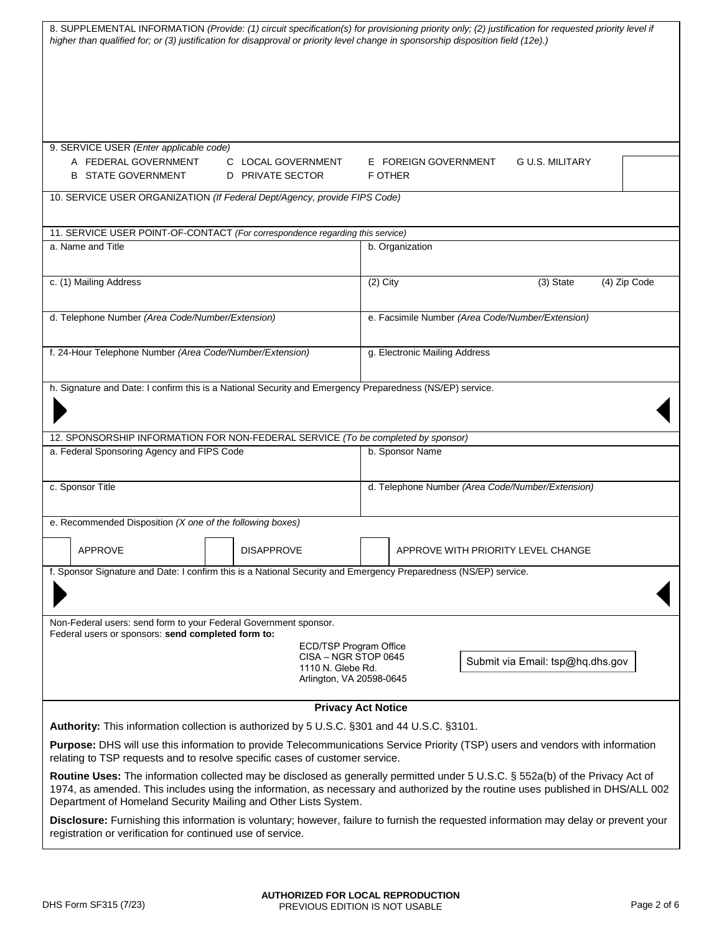| 8. SUPPLEMENTAL INFORMATION (Provide: (1) circuit specification(s) for provisioning priority only; (2) justification for requested priority level if<br>higher than qualified for; or (3) justification for disapproval or priority level change in sponsorship disposition field (12e).)                                            |                                                                                                 |                                                    |
|--------------------------------------------------------------------------------------------------------------------------------------------------------------------------------------------------------------------------------------------------------------------------------------------------------------------------------------|-------------------------------------------------------------------------------------------------|----------------------------------------------------|
|                                                                                                                                                                                                                                                                                                                                      |                                                                                                 |                                                    |
| 9. SERVICE USER (Enter applicable code)                                                                                                                                                                                                                                                                                              |                                                                                                 |                                                    |
| A FEDERAL GOVERNMENT<br><b>B STATE GOVERNMENT</b>                                                                                                                                                                                                                                                                                    | C LOCAL GOVERNMENT<br>D PRIVATE SECTOR                                                          | E FOREIGN GOVERNMENT<br>G U.S. MILITARY<br>F OTHER |
| 10. SERVICE USER ORGANIZATION (If Federal Dept/Agency, provide FIPS Code)                                                                                                                                                                                                                                                            |                                                                                                 |                                                    |
| 11. SERVICE USER POINT-OF-CONTACT (For correspondence regarding this service)                                                                                                                                                                                                                                                        |                                                                                                 |                                                    |
| a. Name and Title                                                                                                                                                                                                                                                                                                                    |                                                                                                 | b. Organization                                    |
| c. (1) Mailing Address                                                                                                                                                                                                                                                                                                               |                                                                                                 | $(2)$ City<br>$(3)$ State<br>(4) Zip Code          |
| d. Telephone Number (Area Code/Number/Extension)                                                                                                                                                                                                                                                                                     |                                                                                                 | e. Facsimile Number (Area Code/Number/Extension)   |
| f. 24-Hour Telephone Number (Area Code/Number/Extension)                                                                                                                                                                                                                                                                             |                                                                                                 | g. Electronic Mailing Address                      |
| h. Signature and Date: I confirm this is a National Security and Emergency Preparedness (NS/EP) service.                                                                                                                                                                                                                             |                                                                                                 |                                                    |
| 12. SPONSORSHIP INFORMATION FOR NON-FEDERAL SERVICE (To be completed by sponsor)                                                                                                                                                                                                                                                     |                                                                                                 |                                                    |
| a. Federal Sponsoring Agency and FIPS Code                                                                                                                                                                                                                                                                                           |                                                                                                 | b. Sponsor Name                                    |
| c. Sponsor Title                                                                                                                                                                                                                                                                                                                     |                                                                                                 | d. Telephone Number (Area Code/Number/Extension)   |
| e. Recommended Disposition (X one of the following boxes)                                                                                                                                                                                                                                                                            |                                                                                                 |                                                    |
| <b>APPROVE</b>                                                                                                                                                                                                                                                                                                                       | <b>DISAPPROVE</b>                                                                               | APPROVE WITH PRIORITY LEVEL CHANGE                 |
| f. Sponsor Signature and Date: I confirm this is a National Security and Emergency Preparedness (NS/EP) service.                                                                                                                                                                                                                     |                                                                                                 |                                                    |
| Non-Federal users: send form to your Federal Government sponsor.<br>Federal users or sponsors: send completed form to:                                                                                                                                                                                                               |                                                                                                 |                                                    |
|                                                                                                                                                                                                                                                                                                                                      | ECD/TSP Program Office<br>CISA - NGR STOP 0645<br>1110 N. Glebe Rd.<br>Arlington, VA 20598-0645 | Submit via Email: tsp@hq.dhs.gov                   |
|                                                                                                                                                                                                                                                                                                                                      |                                                                                                 |                                                    |
| <b>Privacy Act Notice</b><br>Authority: This information collection is authorized by 5 U.S.C. §301 and 44 U.S.C. §3101.                                                                                                                                                                                                              |                                                                                                 |                                                    |
| Purpose: DHS will use this information to provide Telecommunications Service Priority (TSP) users and vendors with information<br>relating to TSP requests and to resolve specific cases of customer service.                                                                                                                        |                                                                                                 |                                                    |
| Routine Uses: The information collected may be disclosed as generally permitted under 5 U.S.C. § 552a(b) of the Privacy Act of<br>1974, as amended. This includes using the information, as necessary and authorized by the routine uses published in DHS/ALL 002<br>Department of Homeland Security Mailing and Other Lists System. |                                                                                                 |                                                    |
| Disclosure: Furnishing this information is voluntary; however, failure to furnish the requested information may delay or prevent your<br>registration or verification for continued use of service.                                                                                                                                  |                                                                                                 |                                                    |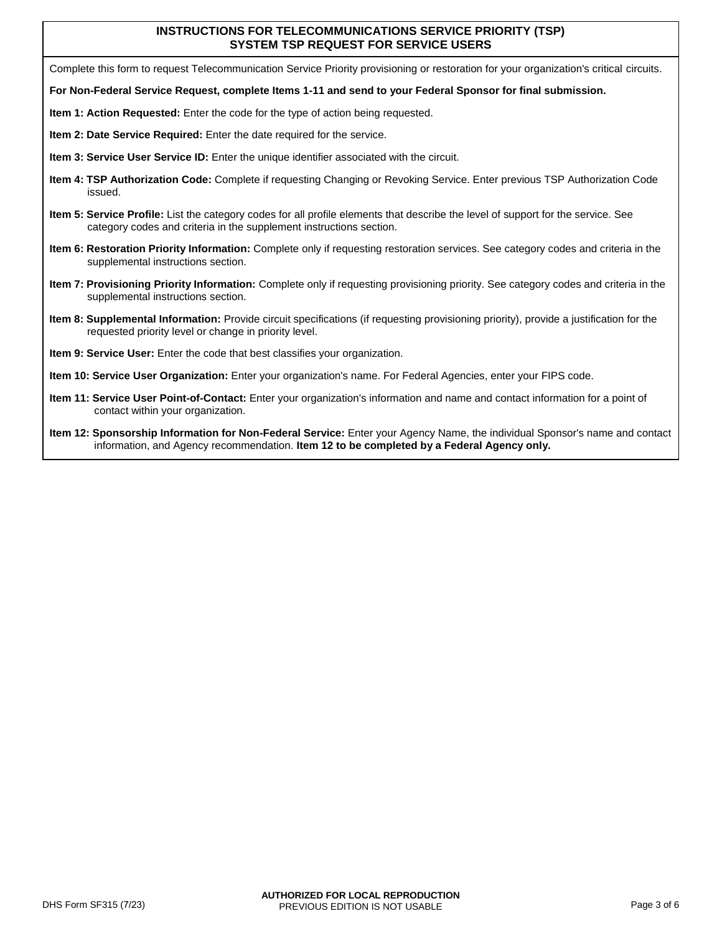#### **INSTRUCTIONS FOR TELECOMMUNICATIONS SERVICE PRIORITY (TSP) SYSTEM TSP REQUEST FOR SERVICE USERS**

Complete this form to request Telecommunication Service Priority provisioning or restoration for your organization's critical circuits.

- **For Non-Federal Service Request, complete Items 1-11 and send to your Federal Sponsor for final submission.**
- **Item 1: Action Requested:** Enter the code for the type of action being requested.
- **Item 2: Date Service Required:** Enter the date required for the service.
- **Item 3: Service User Service ID:** Enter the unique identifier associated with the circuit.
- **Item 4: TSP Authorization Code:** Complete if requesting Changing or Revoking Service. Enter previous TSP Authorization Code issued.
- **Item 5: Service Profile:** List the category codes for all profile elements that describe the level of support for the service. See category codes and criteria in the supplement instructions section.
- **Item 6: Restoration Priority Information:** Complete only if requesting restoration services. See category codes and criteria in the supplemental instructions section.
- **Item 7: Provisioning Priority Information:** Complete only if requesting provisioning priority. See category codes and criteria in the supplemental instructions section.
- **Item 8: Supplemental Information:** Provide circuit specifications (if requesting provisioning priority), provide a justification for the requested priority level or change in priority level.
- **Item 9: Service User:** Enter the code that best classifies your organization.
- **Item 10: Service User Organization:** Enter your organization's name. For Federal Agencies, enter your FIPS code.
- **Item 11: Service User Point-of-Contact:** Enter your organization's information and name and contact information for a point of contact within your organization.
- **Item 12: Sponsorship Information for Non-Federal Service:** Enter your Agency Name, the individual Sponsor's name and contact information, and Agency recommendation. **Item 12 to be completed by a Federal Agency only.**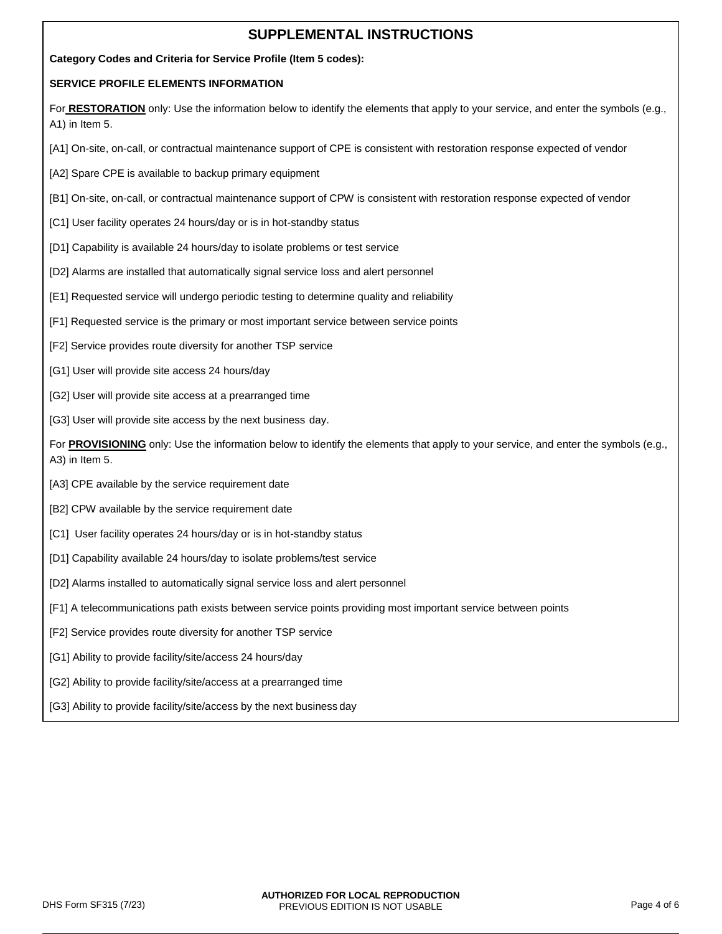# **SUPPLEMENTAL INSTRUCTIONS**

#### **Category Codes and Criteria for Service Profile (Item 5 codes):**

#### **SERVICE PROFILE ELEMENTS INFORMATION**

For RESTORATION only: Use the information below to identify the elements that apply to your service, and enter the symbols (e.g., A1) in Item 5.

- [A1] On-site, on-call, or contractual maintenance support of CPE is consistent with restoration response expected of vendor
- [A2] Spare CPE is available to backup primary equipment
- [B1] On-site, on-call, or contractual maintenance support of CPW is consistent with restoration response expected of vendor
- [C1] User facility operates 24 hours/day or is in hot-standby status
- [D1] Capability is available 24 hours/day to isolate problems or test service
- [D2] Alarms are installed that automatically signal service loss and alert personnel
- [E1] Requested service will undergo periodic testing to determine quality and reliability
- [F1] Requested service is the primary or most important service between service points
- [F2] Service provides route diversity for another TSP service
- [G1] User will provide site access 24 hours/day
- [G2] User will provide site access at a prearranged time
- [G3] User will provide site access by the next business day.

For **PROVISIONING** only: Use the information below to identify the elements that apply to your service, and enter the symbols (e.g., A3) in Item 5.

- [A3] CPE available by the service requirement date
- [B2] CPW available by the service requirement date
- [C1] User facility operates 24 hours/day or is in hot-standby status
- [D1] Capability available 24 hours/day to isolate problems/test service
- [D2] Alarms installed to automatically signal service loss and alert personnel
- [F1] A telecommunications path exists between service points providing most important service between points
- [F2] Service provides route diversity for another TSP service
- [G1] Ability to provide facility/site/access 24 hours/day
- [G2] Ability to provide facility/site/access at a prearranged time
- [G3] Ability to provide facility/site/access by the next business day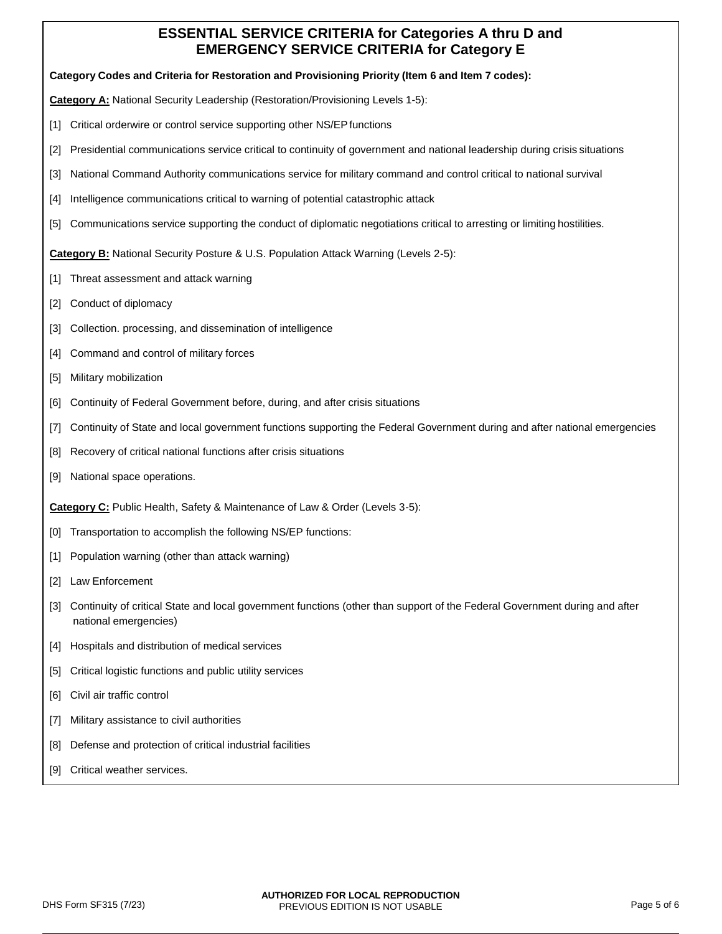## **ESSENTIAL SERVICE CRITERIA for Categories A thru D and EMERGENCY SERVICE CRITERIA for Category E**

**Category Codes and Criteria for Restoration and Provisioning Priority (Item 6 and Item 7 codes):** 

**Category A:** National Security Leadership (Restoration/Provisioning Levels 1-5):

- [1] Critical orderwire or control service supporting other NS/EP functions
- [2] Presidential communications service critical to continuity of government and national leadership during crisis situations
- [3] National Command Authority communications service for military command and control critical to national survival
- [4] Intelligence communications critical to warning of potential catastrophic attack
- [5] Communications service supporting the conduct of diplomatic negotiations critical to arresting or limiting hostilities.

**Category B:** National Security Posture & U.S. Population Attack Warning (Levels 2-5):

- [1] Threat assessment and attack warning
- [2] Conduct of diplomacy
- [3] Collection. processing, and dissemination of intelligence
- [4] Command and control of military forces
- [5] Military mobilization
- [6] Continuity of Federal Government before, during, and after crisis situations
- [7] Continuity of State and local government functions supporting the Federal Government during and after national emergencies
- [8] Recovery of critical national functions after crisis situations
- [9] National space operations.

**Category C:** Public Health, Safety & Maintenance of Law & Order (Levels 3-5):

- [0] Transportation to accomplish the following NS/EP functions:
- [1] Population warning (other than attack warning)
- [2] Law Enforcement
- [3] Continuity of critical State and local government functions (other than support of the Federal Government during and after national emergencies)
- [4] Hospitals and distribution of medical services
- [5] Critical logistic functions and public utility services
- [6] Civil air traffic control
- [7] Military assistance to civil authorities
- [8] Defense and protection of critical industrial facilities
- [9] Critical weather services.